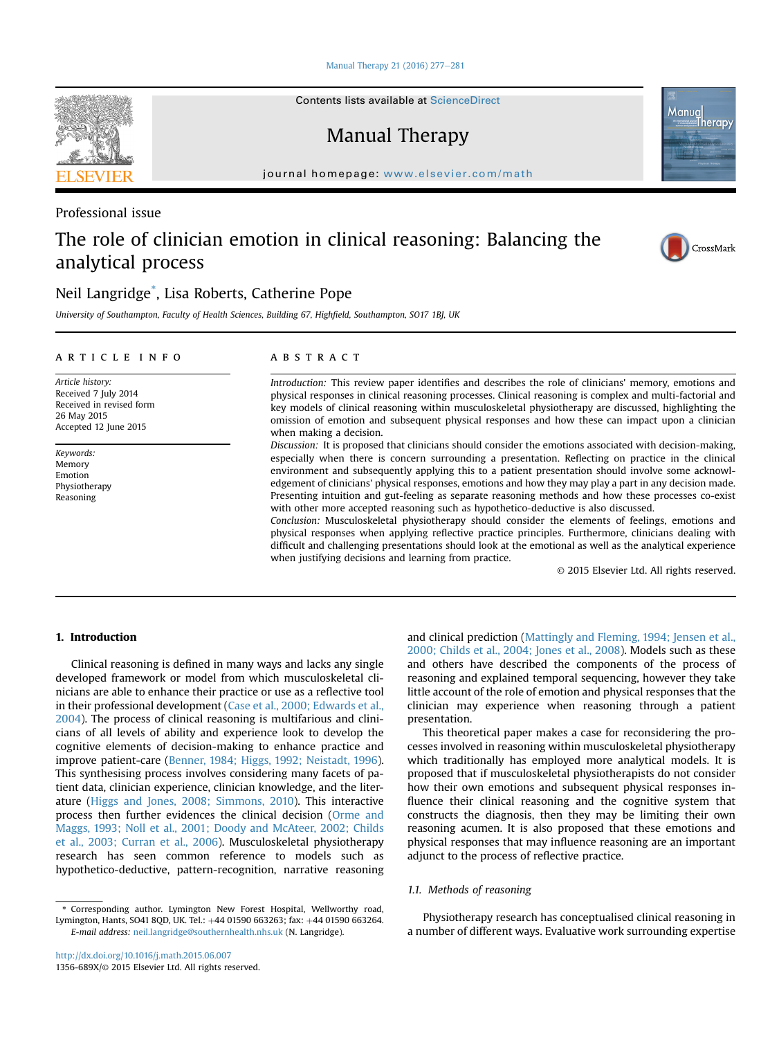[Manual Therapy 21 \(2016\) 277](http://dx.doi.org/10.1016/j.math.2015.06.007)-[281](http://dx.doi.org/10.1016/j.math.2015.06.007)

Contents lists available at ScienceDirect

Manual Therapy

journal homepage: [www.elsevier.com/math](http://www.elsevier.com/math)

### Professional issue

# The role of clinician emotion in clinical reasoning: Balancing the analytical process



Manu<u>a</u>

[herapy

## Neil Langridge\* , Lisa Roberts, Catherine Pope

University of Southampton, Faculty of Health Sciences, Building 67, Highfield, Southampton, SO17 1BJ, UK

#### article info

Article history: Received 7 July 2014 Received in revised form 26 May 2015 Accepted 12 June 2015

Keywords: Memory Emotion Physiotherapy Reasoning

#### **ABSTRACT**

Introduction: This review paper identifies and describes the role of clinicians' memory, emotions and physical responses in clinical reasoning processes. Clinical reasoning is complex and multi-factorial and key models of clinical reasoning within musculoskeletal physiotherapy are discussed, highlighting the omission of emotion and subsequent physical responses and how these can impact upon a clinician when making a decision.

Discussion: It is proposed that clinicians should consider the emotions associated with decision-making, especially when there is concern surrounding a presentation. Reflecting on practice in the clinical environment and subsequently applying this to a patient presentation should involve some acknowledgement of clinicians' physical responses, emotions and how they may play a part in any decision made. Presenting intuition and gut-feeling as separate reasoning methods and how these processes co-exist with other more accepted reasoning such as hypothetico-deductive is also discussed.

Conclusion: Musculoskeletal physiotherapy should consider the elements of feelings, emotions and physical responses when applying reflective practice principles. Furthermore, clinicians dealing with difficult and challenging presentations should look at the emotional as well as the analytical experience when justifying decisions and learning from practice.

© 2015 Elsevier Ltd. All rights reserved.

#### 1. Introduction

Clinical reasoning is defined in many ways and lacks any single developed framework or model from which musculoskeletal clinicians are able to enhance their practice or use as a reflective tool in their professional development [\(Case et al., 2000; Edwards et al.,](#page-3-0) [2004\)](#page-3-0). The process of clinical reasoning is multifarious and clinicians of all levels of ability and experience look to develop the cognitive elements of decision-making to enhance practice and improve patient-care [\(Benner, 1984; Higgs, 1992; Neistadt, 1996\)](#page-3-0). This synthesising process involves considering many facets of patient data, clinician experience, clinician knowledge, and the literature [\(Higgs and Jones, 2008; Simmons, 2010\)](#page-3-0). This interactive process then further evidences the clinical decision [\(Orme and](#page-4-0) [Maggs, 1993; Noll et al., 2001; Doody and McAteer, 2002; Childs](#page-4-0) [et al., 2003; Curran et al., 2006\)](#page-4-0). Musculoskeletal physiotherapy research has seen common reference to models such as hypothetico-deductive, pattern-recognition, narrative reasoning

\* Corresponding author. Lymington New Forest Hospital, Wellworthy road, Lymington, Hants, SO41 8QD, UK. Tel.: +44 01590 663263; fax: +44 01590 663264. E-mail address: [neil.langridge@southernhealth.nhs.uk](mailto:neil.langridge@southernhealth.nhs.uk) (N. Langridge).

and clinical prediction ([Mattingly and Fleming, 1994; Jensen et al.,](#page-3-0) [2000; Childs et al., 2004; Jones et al., 2008](#page-3-0)). Models such as these and others have described the components of the process of reasoning and explained temporal sequencing, however they take little account of the role of emotion and physical responses that the clinician may experience when reasoning through a patient presentation.

This theoretical paper makes a case for reconsidering the processes involved in reasoning within musculoskeletal physiotherapy which traditionally has employed more analytical models. It is proposed that if musculoskeletal physiotherapists do not consider how their own emotions and subsequent physical responses influence their clinical reasoning and the cognitive system that constructs the diagnosis, then they may be limiting their own reasoning acumen. It is also proposed that these emotions and physical responses that may influence reasoning are an important adjunct to the process of reflective practice.

#### 1.1. Methods of reasoning

Physiotherapy research has conceptualised clinical reasoning in a number of different ways. Evaluative work surrounding expertise

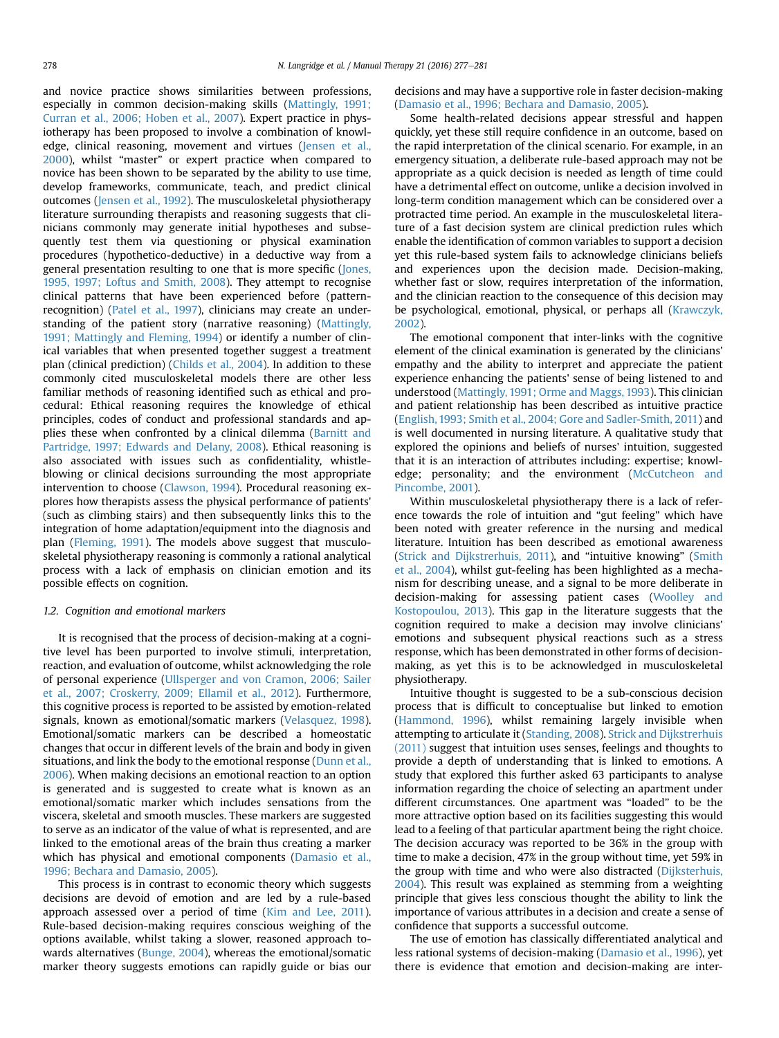and novice practice shows similarities between professions, especially in common decision-making skills [\(Mattingly, 1991;](#page-3-0) [Curran et al., 2006; Hoben et al., 2007\)](#page-3-0). Expert practice in physiotherapy has been proposed to involve a combination of knowledge, clinical reasoning, movement and virtues ([Jensen et al.,](#page-3-0) [2000](#page-3-0)), whilst "master" or expert practice when compared to novice has been shown to be separated by the ability to use time, develop frameworks, communicate, teach, and predict clinical outcomes [\(Jensen et al., 1992\)](#page-3-0). The musculoskeletal physiotherapy literature surrounding therapists and reasoning suggests that clinicians commonly may generate initial hypotheses and subsequently test them via questioning or physical examination procedures (hypothetico-deductive) in a deductive way from a general presentation resulting to one that is more specific ([Jones,](#page-3-0) [1995, 1997; Loftus and Smith, 2008\)](#page-3-0). They attempt to recognise clinical patterns that have been experienced before (patternrecognition) ([Patel et al., 1997](#page-4-0)), clinicians may create an understanding of the patient story (narrative reasoning) ([Mattingly,](#page-3-0) [1991; Mattingly and Fleming, 1994\)](#page-3-0) or identify a number of clinical variables that when presented together suggest a treatment plan (clinical prediction) [\(Childs et al., 2004\)](#page-3-0). In addition to these commonly cited musculoskeletal models there are other less familiar methods of reasoning identified such as ethical and procedural: Ethical reasoning requires the knowledge of ethical principles, codes of conduct and professional standards and applies these when confronted by a clinical dilemma ([Barnitt and](#page-3-0) [Partridge, 1997; Edwards and Delany, 2008](#page-3-0)). Ethical reasoning is also associated with issues such as confidentiality, whistleblowing or clinical decisions surrounding the most appropriate intervention to choose ([Clawson, 1994](#page-3-0)). Procedural reasoning explores how therapists assess the physical performance of patients' (such as climbing stairs) and then subsequently links this to the integration of home adaptation/equipment into the diagnosis and plan ([Fleming, 1991\)](#page-3-0). The models above suggest that musculoskeletal physiotherapy reasoning is commonly a rational analytical process with a lack of emphasis on clinician emotion and its possible effects on cognition.

#### 1.2. Cognition and emotional markers

It is recognised that the process of decision-making at a cognitive level has been purported to involve stimuli, interpretation, reaction, and evaluation of outcome, whilst acknowledging the role of personal experience [\(Ullsperger and von Cramon, 2006; Sailer](#page-4-0) [et al., 2007; Croskerry, 2009; Ellamil et al., 2012](#page-4-0)). Furthermore, this cognitive process is reported to be assisted by emotion-related signals, known as emotional/somatic markers ([Velasquez, 1998\)](#page-4-0). Emotional/somatic markers can be described a homeostatic changes that occur in different levels of the brain and body in given situations, and link the body to the emotional response ([Dunn et al.,](#page-3-0) [2006](#page-3-0)). When making decisions an emotional reaction to an option is generated and is suggested to create what is known as an emotional/somatic marker which includes sensations from the viscera, skeletal and smooth muscles. These markers are suggested to serve as an indicator of the value of what is represented, and are linked to the emotional areas of the brain thus creating a marker which has physical and emotional components ([Damasio et al.,](#page-3-0) [1996; Bechara and Damasio, 2005\)](#page-3-0).

This process is in contrast to economic theory which suggests decisions are devoid of emotion and are led by a rule-based approach assessed over a period of time ([Kim and Lee, 2011\)](#page-3-0). Rule-based decision-making requires conscious weighing of the options available, whilst taking a slower, reasoned approach to-wards alternatives ([Bunge, 2004](#page-3-0)), whereas the emotional/somatic marker theory suggests emotions can rapidly guide or bias our

#### decisions and may have a supportive role in faster decision-making ([Damasio et al., 1996; Bechara and Damasio, 2005\)](#page-3-0).

Some health-related decisions appear stressful and happen quickly, yet these still require confidence in an outcome, based on the rapid interpretation of the clinical scenario. For example, in an emergency situation, a deliberate rule-based approach may not be appropriate as a quick decision is needed as length of time could have a detrimental effect on outcome, unlike a decision involved in long-term condition management which can be considered over a protracted time period. An example in the musculoskeletal literature of a fast decision system are clinical prediction rules which enable the identification of common variables to support a decision yet this rule-based system fails to acknowledge clinicians beliefs and experiences upon the decision made. Decision-making, whether fast or slow, requires interpretation of the information, and the clinician reaction to the consequence of this decision may be psychological, emotional, physical, or perhaps all [\(Krawczyk,](#page-3-0) [2002](#page-3-0)).

The emotional component that inter-links with the cognitive element of the clinical examination is generated by the clinicians' empathy and the ability to interpret and appreciate the patient experience enhancing the patients' sense of being listened to and understood ([Mattingly, 1991; Orme and Maggs, 1993](#page-3-0)). This clinician and patient relationship has been described as intuitive practice ([English, 1993; Smith et al., 2004; Gore and Sadler-Smith, 2011\)](#page-3-0) and is well documented in nursing literature. A qualitative study that explored the opinions and beliefs of nurses' intuition, suggested that it is an interaction of attributes including: expertise; knowledge; personality; and the environment ([McCutcheon and](#page-3-0) [Pincombe, 2001](#page-3-0)).

Within musculoskeletal physiotherapy there is a lack of reference towards the role of intuition and "gut feeling" which have been noted with greater reference in the nursing and medical literature. Intuition has been described as emotional awareness ([Strick and Dijkstrerhuis, 2011\)](#page-4-0), and "intuitive knowing" ([Smith](#page-4-0) [et al., 2004\)](#page-4-0), whilst gut-feeling has been highlighted as a mechanism for describing unease, and a signal to be more deliberate in decision-making for assessing patient cases ([Woolley and](#page-4-0) [Kostopoulou, 2013](#page-4-0)). This gap in the literature suggests that the cognition required to make a decision may involve clinicians' emotions and subsequent physical reactions such as a stress response, which has been demonstrated in other forms of decisionmaking, as yet this is to be acknowledged in musculoskeletal physiotherapy.

Intuitive thought is suggested to be a sub-conscious decision process that is difficult to conceptualise but linked to emotion ([Hammond, 1996\)](#page-3-0), whilst remaining largely invisible when attempting to articulate it [\(Standing, 2008\)](#page-4-0). [Strick and Dijkstrerhuis](#page-4-0) [\(2011\)](#page-4-0) suggest that intuition uses senses, feelings and thoughts to provide a depth of understanding that is linked to emotions. A study that explored this further asked 63 participants to analyse information regarding the choice of selecting an apartment under different circumstances. One apartment was "loaded" to be the more attractive option based on its facilities suggesting this would lead to a feeling of that particular apartment being the right choice. The decision accuracy was reported to be 36% in the group with time to make a decision, 47% in the group without time, yet 59% in the group with time and who were also distracted ([Dijksterhuis,](#page-3-0) [2004](#page-3-0)). This result was explained as stemming from a weighting principle that gives less conscious thought the ability to link the importance of various attributes in a decision and create a sense of confidence that supports a successful outcome.

The use of emotion has classically differentiated analytical and less rational systems of decision-making [\(Damasio et al., 1996](#page-3-0)), yet there is evidence that emotion and decision-making are inter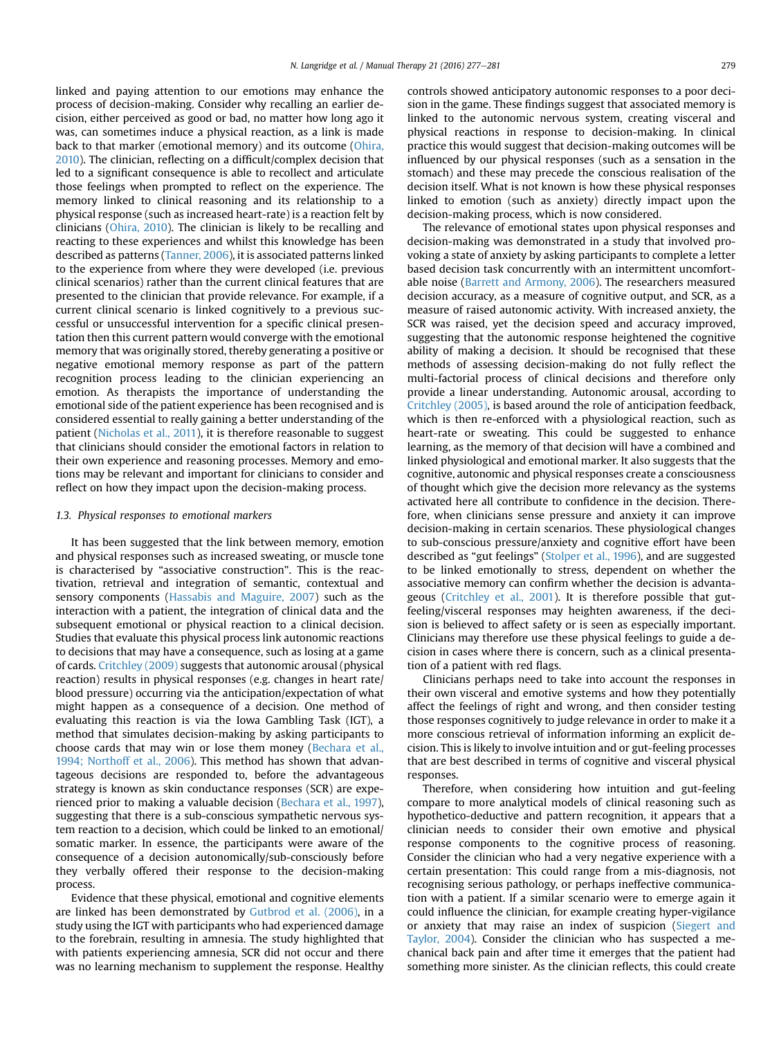linked and paying attention to our emotions may enhance the process of decision-making. Consider why recalling an earlier decision, either perceived as good or bad, no matter how long ago it was, can sometimes induce a physical reaction, as a link is made back to that marker (emotional memory) and its outcome ([Ohira,](#page-4-0) [2010\)](#page-4-0). The clinician, reflecting on a difficult/complex decision that led to a significant consequence is able to recollect and articulate those feelings when prompted to reflect on the experience. The memory linked to clinical reasoning and its relationship to a physical response (such as increased heart-rate) is a reaction felt by clinicians ([Ohira, 2010](#page-4-0)). The clinician is likely to be recalling and reacting to these experiences and whilst this knowledge has been described as patterns [\(Tanner, 2006\)](#page-4-0), it is associated patterns linked to the experience from where they were developed (i.e. previous clinical scenarios) rather than the current clinical features that are presented to the clinician that provide relevance. For example, if a current clinical scenario is linked cognitively to a previous successful or unsuccessful intervention for a specific clinical presentation then this current pattern would converge with the emotional memory that was originally stored, thereby generating a positive or negative emotional memory response as part of the pattern recognition process leading to the clinician experiencing an emotion. As therapists the importance of understanding the emotional side of the patient experience has been recognised and is considered essential to really gaining a better understanding of the patient ([Nicholas et al., 2011](#page-3-0)), it is therefore reasonable to suggest that clinicians should consider the emotional factors in relation to their own experience and reasoning processes. Memory and emotions may be relevant and important for clinicians to consider and reflect on how they impact upon the decision-making process.

#### 1.3. Physical responses to emotional markers

It has been suggested that the link between memory, emotion and physical responses such as increased sweating, or muscle tone is characterised by "associative construction". This is the reactivation, retrieval and integration of semantic, contextual and sensory components [\(Hassabis and Maguire, 2007\)](#page-3-0) such as the interaction with a patient, the integration of clinical data and the subsequent emotional or physical reaction to a clinical decision. Studies that evaluate this physical process link autonomic reactions to decisions that may have a consequence, such as losing at a game of cards. [Critchley \(2009\)](#page-3-0) suggests that autonomic arousal (physical reaction) results in physical responses (e.g. changes in heart rate/ blood pressure) occurring via the anticipation/expectation of what might happen as a consequence of a decision. One method of evaluating this reaction is via the Iowa Gambling Task (IGT), a method that simulates decision-making by asking participants to choose cards that may win or lose them money ([Bechara et al.,](#page-3-0) [1994; Northoff et al., 2006](#page-3-0)). This method has shown that advantageous decisions are responded to, before the advantageous strategy is known as skin conductance responses (SCR) are experienced prior to making a valuable decision ([Bechara et al., 1997\)](#page-3-0), suggesting that there is a sub-conscious sympathetic nervous system reaction to a decision, which could be linked to an emotional/ somatic marker. In essence, the participants were aware of the consequence of a decision autonomically/sub-consciously before they verbally offered their response to the decision-making process.

Evidence that these physical, emotional and cognitive elements are linked has been demonstrated by [Gutbrod et al. \(2006\)](#page-3-0), in a study using the IGT with participants who had experienced damage to the forebrain, resulting in amnesia. The study highlighted that with patients experiencing amnesia, SCR did not occur and there was no learning mechanism to supplement the response. Healthy controls showed anticipatory autonomic responses to a poor decision in the game. These findings suggest that associated memory is linked to the autonomic nervous system, creating visceral and physical reactions in response to decision-making. In clinical practice this would suggest that decision-making outcomes will be influenced by our physical responses (such as a sensation in the stomach) and these may precede the conscious realisation of the decision itself. What is not known is how these physical responses linked to emotion (such as anxiety) directly impact upon the decision-making process, which is now considered.

The relevance of emotional states upon physical responses and decision-making was demonstrated in a study that involved provoking a state of anxiety by asking participants to complete a letter based decision task concurrently with an intermittent uncomfortable noise ([Barrett and Armony, 2006](#page-3-0)). The researchers measured decision accuracy, as a measure of cognitive output, and SCR, as a measure of raised autonomic activity. With increased anxiety, the SCR was raised, yet the decision speed and accuracy improved, suggesting that the autonomic response heightened the cognitive ability of making a decision. It should be recognised that these methods of assessing decision-making do not fully reflect the multi-factorial process of clinical decisions and therefore only provide a linear understanding. Autonomic arousal, according to [Critchley \(2005\),](#page-3-0) is based around the role of anticipation feedback, which is then re-enforced with a physiological reaction, such as heart-rate or sweating. This could be suggested to enhance learning, as the memory of that decision will have a combined and linked physiological and emotional marker. It also suggests that the cognitive, autonomic and physical responses create a consciousness of thought which give the decision more relevancy as the systems activated here all contribute to confidence in the decision. Therefore, when clinicians sense pressure and anxiety it can improve decision-making in certain scenarios. These physiological changes to sub-conscious pressure/anxiety and cognitive effort have been described as "gut feelings" [\(Stolper et al., 1996\)](#page-4-0), and are suggested to be linked emotionally to stress, dependent on whether the associative memory can confirm whether the decision is advantageous ([Critchley et al., 2001\)](#page-3-0). It is therefore possible that gutfeeling/visceral responses may heighten awareness, if the decision is believed to affect safety or is seen as especially important. Clinicians may therefore use these physical feelings to guide a decision in cases where there is concern, such as a clinical presentation of a patient with red flags.

Clinicians perhaps need to take into account the responses in their own visceral and emotive systems and how they potentially affect the feelings of right and wrong, and then consider testing those responses cognitively to judge relevance in order to make it a more conscious retrieval of information informing an explicit decision. This is likely to involve intuition and or gut-feeling processes that are best described in terms of cognitive and visceral physical responses.

Therefore, when considering how intuition and gut-feeling compare to more analytical models of clinical reasoning such as hypothetico-deductive and pattern recognition, it appears that a clinician needs to consider their own emotive and physical response components to the cognitive process of reasoning. Consider the clinician who had a very negative experience with a certain presentation: This could range from a mis-diagnosis, not recognising serious pathology, or perhaps ineffective communication with a patient. If a similar scenario were to emerge again it could influence the clinician, for example creating hyper-vigilance or anxiety that may raise an index of suspicion [\(Siegert and](#page-4-0) [Taylor, 2004\)](#page-4-0). Consider the clinician who has suspected a mechanical back pain and after time it emerges that the patient had something more sinister. As the clinician reflects, this could create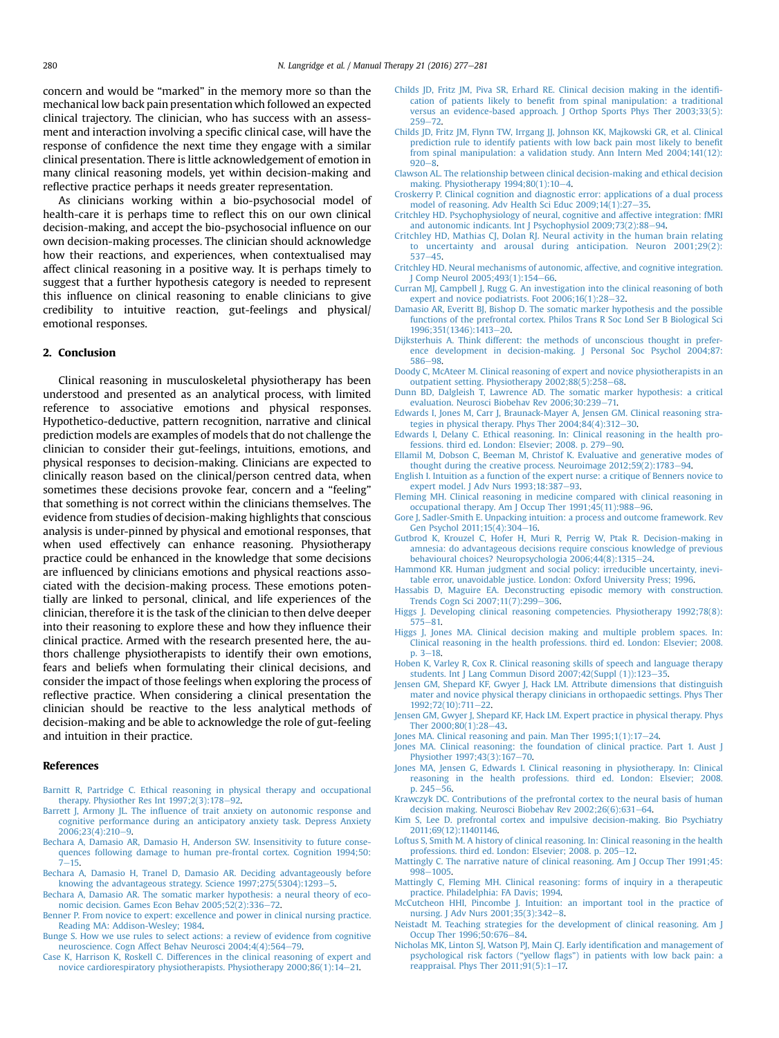<span id="page-3-0"></span>concern and would be "marked" in the memory more so than the mechanical low back pain presentation which followed an expected clinical trajectory. The clinician, who has success with an assessment and interaction involving a specific clinical case, will have the response of confidence the next time they engage with a similar clinical presentation. There is little acknowledgement of emotion in many clinical reasoning models, yet within decision-making and reflective practice perhaps it needs greater representation.

As clinicians working within a bio-psychosocial model of health-care it is perhaps time to reflect this on our own clinical decision-making, and accept the bio-psychosocial influence on our own decision-making processes. The clinician should acknowledge how their reactions, and experiences, when contextualised may affect clinical reasoning in a positive way. It is perhaps timely to suggest that a further hypothesis category is needed to represent this influence on clinical reasoning to enable clinicians to give credibility to intuitive reaction, gut-feelings and physical/ emotional responses.

#### 2. Conclusion

Clinical reasoning in musculoskeletal physiotherapy has been understood and presented as an analytical process, with limited reference to associative emotions and physical responses. Hypothetico-deductive, pattern recognition, narrative and clinical prediction models are examples of models that do not challenge the clinician to consider their gut-feelings, intuitions, emotions, and physical responses to decision-making. Clinicians are expected to clinically reason based on the clinical/person centred data, when sometimes these decisions provoke fear, concern and a "feeling" that something is not correct within the clinicians themselves. The evidence from studies of decision-making highlights that conscious analysis is under-pinned by physical and emotional responses, that when used effectively can enhance reasoning. Physiotherapy practice could be enhanced in the knowledge that some decisions are influenced by clinicians emotions and physical reactions associated with the decision-making process. These emotions potentially are linked to personal, clinical, and life experiences of the clinician, therefore it is the task of the clinician to then delve deeper into their reasoning to explore these and how they influence their clinical practice. Armed with the research presented here, the authors challenge physiotherapists to identify their own emotions, fears and beliefs when formulating their clinical decisions, and consider the impact of those feelings when exploring the process of reflective practice. When considering a clinical presentation the clinician should be reactive to the less analytical methods of decision-making and be able to acknowledge the role of gut-feeling and intuition in their practice.

#### References

- [Barnitt R, Partridge C. Ethical reasoning in physical therapy and occupational](http://refhub.elsevier.com/S1356-689X(15)00136-8/sref1) therapy. Physiother Res Int  $1997;2(3):178-92$ .
- Barrett J, Armony JL. The infl[uence of trait anxiety on autonomic response and](http://refhub.elsevier.com/S1356-689X(15)00136-8/sref2) [cognitive performance during an anticipatory anxiety task. Depress Anxiety](http://refhub.elsevier.com/S1356-689X(15)00136-8/sref2) [2006;23\(4\):210](http://refhub.elsevier.com/S1356-689X(15)00136-8/sref2)-[9](http://refhub.elsevier.com/S1356-689X(15)00136-8/sref2).
- [Bechara A, Damasio AR, Damasio H, Anderson SW. Insensitivity to future conse](http://refhub.elsevier.com/S1356-689X(15)00136-8/sref3)[quences following damage to human pre-frontal cortex. Cognition 1994;50:](http://refhub.elsevier.com/S1356-689X(15)00136-8/sref3)  $7 - 15.$  $7 - 15.$  $7 - 15.$  $7 - 15.$
- [Bechara A, Damasio H, Tranel D, Damasio AR. Deciding advantageously before](http://refhub.elsevier.com/S1356-689X(15)00136-8/sref4) [knowing the advantageous strategy. Science 1997;275\(5304\):1293](http://refhub.elsevier.com/S1356-689X(15)00136-8/sref4)-[5.](http://refhub.elsevier.com/S1356-689X(15)00136-8/sref4)
- [Bechara A, Damasio AR. The somatic marker hypothesis: a neural theory of eco](http://refhub.elsevier.com/S1356-689X(15)00136-8/sref5)[nomic decision. Games Econ Behav 2005;52\(2\):336](http://refhub.elsevier.com/S1356-689X(15)00136-8/sref5)-[72](http://refhub.elsevier.com/S1356-689X(15)00136-8/sref5).
- [Benner P. From novice to expert: excellence and power in clinical nursing practice.](http://refhub.elsevier.com/S1356-689X(15)00136-8/sref6) [Reading MA: Addison-Wesley; 1984.](http://refhub.elsevier.com/S1356-689X(15)00136-8/sref6)
- [Bunge S. How we use rules to select actions: a review of evidence from cognitive](http://refhub.elsevier.com/S1356-689X(15)00136-8/sref7) [neuroscience. Cogn Affect Behav Neurosci 2004;4\(4\):564](http://refhub.elsevier.com/S1356-689X(15)00136-8/sref7)-[79.](http://refhub.elsevier.com/S1356-689X(15)00136-8/sref7)
- [Case K, Harrison K, Roskell C. Differences in the clinical reasoning of expert and](http://refhub.elsevier.com/S1356-689X(15)00136-8/sref8) [novice cardiorespiratory physiotherapists. Physiotherapy 2000;86\(1\):14](http://refhub.elsevier.com/S1356-689X(15)00136-8/sref8)-[21.](http://refhub.elsevier.com/S1356-689X(15)00136-8/sref8)
- [Childs JD, Fritz JM, Piva SR, Erhard RE. Clinical decision making in the identi](http://refhub.elsevier.com/S1356-689X(15)00136-8/sref9)fication of patients likely to benefi[t from spinal manipulation: a traditional](http://refhub.elsevier.com/S1356-689X(15)00136-8/sref9) [versus an evidence-based approach. J Orthop Sports Phys Ther 2003;33\(5\):](http://refhub.elsevier.com/S1356-689X(15)00136-8/sref9)  $259 - 72.$  $259 - 72.$  $259 - 72.$  $259 - 72.$
- [Childs JD, Fritz JM, Flynn TW, Irrgang JJ, Johnson KK, Majkowski GR, et al. Clinical](http://refhub.elsevier.com/S1356-689X(15)00136-8/sref10) [prediction rule to identify patients with low back pain most likely to bene](http://refhub.elsevier.com/S1356-689X(15)00136-8/sref10)fit [from spinal manipulation: a validation study. Ann Intern Med 2004;141\(12\):](http://refhub.elsevier.com/S1356-689X(15)00136-8/sref10)  $920 - 8$  $920 - 8$
- [Clawson AL. The relationship between clinical decision-making and ethical decision](http://refhub.elsevier.com/S1356-689X(15)00136-8/sref11) making. Physiotherapy  $1994;80(1):10-4$ .
- [Croskerry P. Clinical cognition and diagnostic error: applications of a dual process](http://refhub.elsevier.com/S1356-689X(15)00136-8/sref12) model of reasoning. Adv Health Sci Educ  $2009;14(1):27-35$ .
- [Critchley HD. Psychophysiology of neural, cognitive and affective integration: fMRI](http://refhub.elsevier.com/S1356-689X(15)00136-8/sref13) and autonomic indicants. Int J Psychophysiol 2009:73(2):88-[94.](http://refhub.elsevier.com/S1356-689X(15)00136-8/sref13)
- [Critchley HD, Mathias CJ, Dolan RJ. Neural activity in the human brain relating](http://refhub.elsevier.com/S1356-689X(15)00136-8/sref14) [to uncertainty and arousal during anticipation. Neuron 2001;29\(2\):](http://refhub.elsevier.com/S1356-689X(15)00136-8/sref14) [537](http://refhub.elsevier.com/S1356-689X(15)00136-8/sref14)-45
- [Critchley HD. Neural mechanisms of autonomic, affective, and cognitive integration.](http://refhub.elsevier.com/S1356-689X(15)00136-8/sref15) I Comp Neurol 2005;493(1):154-[66](http://refhub.elsevier.com/S1356-689X(15)00136-8/sref15).
- [Curran MJ, Campbell J, Rugg G. An investigation into the clinical reasoning of both](http://refhub.elsevier.com/S1356-689X(15)00136-8/sref16) expert and novice podiatrists. Foot  $2006;16(1):28-32$  $2006;16(1):28-32$ .
- [Damasio AR, Everitt BJ, Bishop D. The somatic marker hypothesis and the possible](http://refhub.elsevier.com/S1356-689X(15)00136-8/sref17) [functions of the prefrontal cortex. Philos Trans R Soc Lond Ser B Biological Sci](http://refhub.elsevier.com/S1356-689X(15)00136-8/sref17)  $1996:351(1346):1413-20$  $1996:351(1346):1413-20$
- [Dijksterhuis A. Think different: the methods of unconscious thought in prefer](http://refhub.elsevier.com/S1356-689X(15)00136-8/sref18)[ence development in decision-making. J Personal Soc Psychol 2004;87:](http://refhub.elsevier.com/S1356-689X(15)00136-8/sref18) [586](http://refhub.elsevier.com/S1356-689X(15)00136-8/sref18)-98
- [Doody C, McAteer M. Clinical reasoning of expert and novice physiotherapists in an](http://refhub.elsevier.com/S1356-689X(15)00136-8/sref19) [outpatient setting. Physiotherapy 2002;88\(5\):258](http://refhub.elsevier.com/S1356-689X(15)00136-8/sref19)-[68](http://refhub.elsevier.com/S1356-689X(15)00136-8/sref19).
- [Dunn BD, Dalgleish T, Lawrence AD. The somatic marker hypothesis: a critical](http://refhub.elsevier.com/S1356-689X(15)00136-8/sref20) [evaluation. Neurosci Biobehav Rev 2006;30:239](http://refhub.elsevier.com/S1356-689X(15)00136-8/sref20)-[71.](http://refhub.elsevier.com/S1356-689X(15)00136-8/sref20)
- [Edwards I, Jones M, Carr J, Braunack-Mayer A, Jensen GM. Clinical reasoning stra](http://refhub.elsevier.com/S1356-689X(15)00136-8/sref21)tegies in physical therapy. Phys Ther  $2004;84(4):312-30$ .
- [Edwards I, Delany C. Ethical reasoning. In: Clinical reasoning in the health pro](http://refhub.elsevier.com/S1356-689X(15)00136-8/sref22)[fessions. third ed. London: Elsevier; 2008. p. 279](http://refhub.elsevier.com/S1356-689X(15)00136-8/sref22)-[90.](http://refhub.elsevier.com/S1356-689X(15)00136-8/sref22)
- [Ellamil M, Dobson C, Beeman M, Christof K. Evaluative and generative modes of](http://refhub.elsevier.com/S1356-689X(15)00136-8/sref23) thought during the creative process. Neuroimage  $2012;59(2):1783-94$ .
- [English I. Intuition as a function of the expert nurse: a critique of Benners novice to](http://refhub.elsevier.com/S1356-689X(15)00136-8/sref24) [expert model. J Adv Nurs 1993;18:387](http://refhub.elsevier.com/S1356-689X(15)00136-8/sref24)-[93](http://refhub.elsevier.com/S1356-689X(15)00136-8/sref24).
- [Fleming MH. Clinical reasoning in medicine compared with clinical reasoning in](http://refhub.elsevier.com/S1356-689X(15)00136-8/sref25) [occupational therapy. Am J Occup Ther 1991;45\(11\):988](http://refhub.elsevier.com/S1356-689X(15)00136-8/sref25)-[96.](http://refhub.elsevier.com/S1356-689X(15)00136-8/sref25)
- [Gore J, Sadler-Smith E. Unpacking intuition: a process and outcome framework. Rev](http://refhub.elsevier.com/S1356-689X(15)00136-8/sref26) [Gen Psychol 2011;15\(4\):304](http://refhub.elsevier.com/S1356-689X(15)00136-8/sref26)-[16](http://refhub.elsevier.com/S1356-689X(15)00136-8/sref26).
- [Gutbrod K, Krouzel C, Hofer H, Muri R, Perrig W, Ptak R. Decision-making in](http://refhub.elsevier.com/S1356-689X(15)00136-8/sref27) [amnesia: do advantageous decisions require conscious knowledge of previous](http://refhub.elsevier.com/S1356-689X(15)00136-8/sref27) [behavioural choices? Neuropsychologia 2006;44\(8\):1315](http://refhub.elsevier.com/S1356-689X(15)00136-8/sref27)-[24.](http://refhub.elsevier.com/S1356-689X(15)00136-8/sref27)
- [Hammond KR. Human judgment and social policy: irreducible uncertainty, inevi](http://refhub.elsevier.com/S1356-689X(15)00136-8/sref28)[table error, unavoidable justice. London: Oxford University Press; 1996](http://refhub.elsevier.com/S1356-689X(15)00136-8/sref28).
- [Hassabis D, Maguire EA. Deconstructing episodic memory with construction.](http://refhub.elsevier.com/S1356-689X(15)00136-8/sref29) [Trends Cogn Sci 2007;11\(7\):299](http://refhub.elsevier.com/S1356-689X(15)00136-8/sref29)-[306.](http://refhub.elsevier.com/S1356-689X(15)00136-8/sref29)
- [Higgs J. Developing clinical reasoning competencies. Physiotherapy 1992;78\(8\):](http://refhub.elsevier.com/S1356-689X(15)00136-8/sref30)  $575 - 81.$  $575 - 81.$  $575 - 81.$
- [Higgs J, Jones MA. Clinical decision making and multiple problem spaces. In:](http://refhub.elsevier.com/S1356-689X(15)00136-8/sref31) [Clinical reasoning in the health professions. third ed. London: Elsevier; 2008.](http://refhub.elsevier.com/S1356-689X(15)00136-8/sref31)  $p. 3 - 18.$  $p. 3 - 18.$  $p. 3 - 18.$  $p. 3 - 18.$
- [Hoben K, Varley R, Cox R. Clinical reasoning skills of speech and language therapy](http://refhub.elsevier.com/S1356-689X(15)00136-8/sref32) [students. Int J Lang Commun Disord 2007;42\(Suppl \(1\)\):123](http://refhub.elsevier.com/S1356-689X(15)00136-8/sref32)-[35.](http://refhub.elsevier.com/S1356-689X(15)00136-8/sref32)
- [Jensen GM, Shepard KF, Gwyer J, Hack LM. Attribute dimensions that distinguish](http://refhub.elsevier.com/S1356-689X(15)00136-8/sref33) [mater and novice physical therapy clinicians in orthopaedic settings. Phys Ther](http://refhub.elsevier.com/S1356-689X(15)00136-8/sref33) [1992;72\(10\):711](http://refhub.elsevier.com/S1356-689X(15)00136-8/sref33)-[22](http://refhub.elsevier.com/S1356-689X(15)00136-8/sref33).
- [Jensen GM, Gwyer J, Shepard KF, Hack LM. Expert practice in physical therapy. Phys](http://refhub.elsevier.com/S1356-689X(15)00136-8/sref34) Ther 2000:80(1):28-[43](http://refhub.elsevier.com/S1356-689X(15)00136-8/sref34).
- [Jones MA. Clinical reasoning and pain. Man Ther 1995;1\(1\):17](http://refhub.elsevier.com/S1356-689X(15)00136-8/sref35)-[24.](http://refhub.elsevier.com/S1356-689X(15)00136-8/sref35)
- [Jones MA. Clinical reasoning: the foundation of clinical practice. Part 1. Aust J](http://refhub.elsevier.com/S1356-689X(15)00136-8/sref36)
- [Physiother 1997;43\(3\):167](http://refhub.elsevier.com/S1356-689X(15)00136-8/sref36)-[70.](http://refhub.elsevier.com/S1356-689X(15)00136-8/sref36) [Jones MA, Jensen G, Edwards I. Clinical reasoning in physiotherapy. In: Clinical](http://refhub.elsevier.com/S1356-689X(15)00136-8/sref37) [reasoning in the health professions. third ed. London: Elsevier; 2008.](http://refhub.elsevier.com/S1356-689X(15)00136-8/sref37)  $p. 245 - 56$  $p. 245 - 56$  $p. 245 - 56$
- [Krawczyk DC. Contributions of the prefrontal cortex to the neural basis of human](http://refhub.elsevier.com/S1356-689X(15)00136-8/sref38) [decision making. Neurosci Biobehav Rev 2002;26\(6\):631](http://refhub.elsevier.com/S1356-689X(15)00136-8/sref38)-[64.](http://refhub.elsevier.com/S1356-689X(15)00136-8/sref38)
- [Kim S, Lee D. prefrontal cortex and impulsive decision-making. Bio Psychiatry](http://refhub.elsevier.com/S1356-689X(15)00136-8/sref39) [2011;69\(12\):11401146](http://refhub.elsevier.com/S1356-689X(15)00136-8/sref39).
- [Loftus S, Smith M. A history of clinical reasoning. In: Clinical reasoning in the health](http://refhub.elsevier.com/S1356-689X(15)00136-8/sref40) [professions. third ed. London: Elsevier; 2008. p. 205](http://refhub.elsevier.com/S1356-689X(15)00136-8/sref40)-[12](http://refhub.elsevier.com/S1356-689X(15)00136-8/sref40).
- [Mattingly C. The narrative nature of clinical reasoning. Am J Occup Ther 1991;45:](http://refhub.elsevier.com/S1356-689X(15)00136-8/sref41) [998](http://refhub.elsevier.com/S1356-689X(15)00136-8/sref41)-[1005](http://refhub.elsevier.com/S1356-689X(15)00136-8/sref41).
- [Mattingly C, Fleming MH. Clinical reasoning: forms of inquiry in a therapeutic](http://refhub.elsevier.com/S1356-689X(15)00136-8/sref42) [practice. Philadelphia: FA Davis; 1994.](http://refhub.elsevier.com/S1356-689X(15)00136-8/sref42)
- [McCutcheon HHI, Pincombe J. Intuition: an important tool in the practice of](http://refhub.elsevier.com/S1356-689X(15)00136-8/sref43) [nursing. J Adv Nurs 2001;35\(3\):342](http://refhub.elsevier.com/S1356-689X(15)00136-8/sref43)-[8](http://refhub.elsevier.com/S1356-689X(15)00136-8/sref43).
- [Neistadt M. Teaching strategies for the development of clinical reasoning. Am J](http://refhub.elsevier.com/S1356-689X(15)00136-8/sref44) [Occup Ther 1996;50:676](http://refhub.elsevier.com/S1356-689X(15)00136-8/sref44)-[84](http://refhub.elsevier.com/S1356-689X(15)00136-8/sref44).
- [Nicholas MK, Linton SJ, Watson PJ, Main CJ. Early identi](http://refhub.elsevier.com/S1356-689X(15)00136-8/sref45)fication and management of psychological risk factors ("yellow flags"[\) in patients with low back pain: a](http://refhub.elsevier.com/S1356-689X(15)00136-8/sref45) reappraisal. Phys Ther  $2011;91(5):1-17$ .